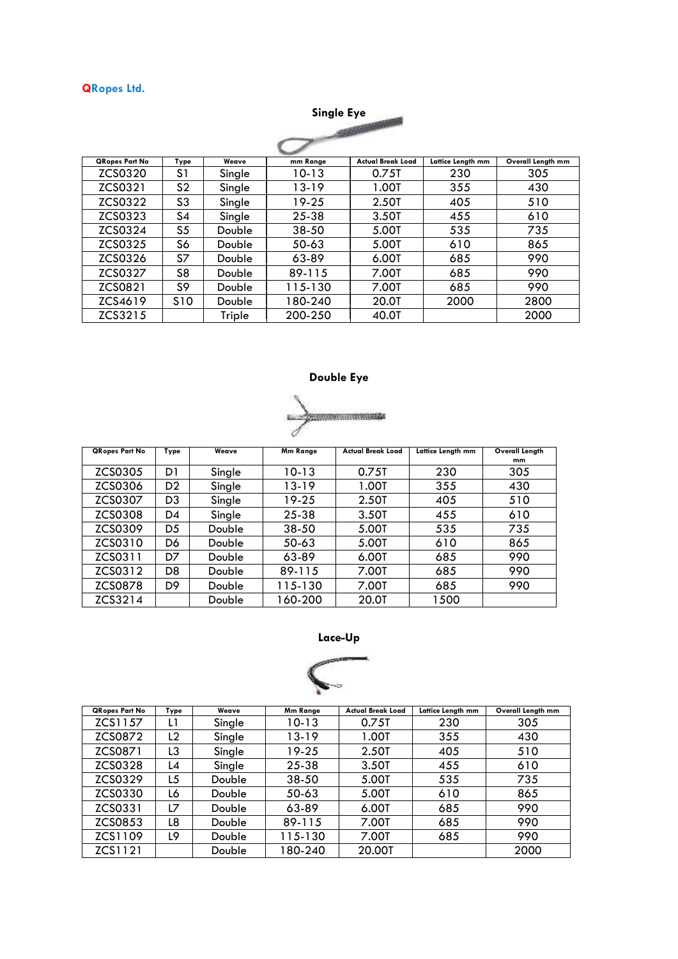## **QRopes Ltd.**

**Single Eye** 45,500 QRopes Part No | Type | Weave | mm Range | Actual Break Load | Lattice Length mm | Overall Length mm ZCS0320 S1 Single 10-13 0.75T 230 305 ZCS0320 S1 Single 10-13 0.75T 230 305 ZCS0321 | S2 | Single | 13-19 | 1.00T | 355 | 430 2CS0321 | S2 | Single | 13-19 | 1.00T | 355 | 430<br>ZCS0322 | S3 | Single | 19-25 | 2.50T | 405 | 510 ZCS0322 S3 Single 19-25 2.50T 405 510 ZCS0323 S4 Single 25-38 3.50T 455 610 ZCS0324 S5 Double 38-50 5.00T 535 735 ZCS0324 | S5 | Double | 38-50 | 5.00T | 535 | 735 ZCS0325 S6 Double 50-63 5.00T 610 865 ZCS0325 S6 Double 50-63 5.00T 610 865 ZCS0326 S7 Double 63-89 6.00T 685 990 ZCS0326 S7 Double 63-89 6.00T 685 990 ZCS0327 S8 Double 89-115 7.00T 685 990 ZCS0327 S8 Double 89-115 7.00T 685 990 ZCS0821 S9 Double 115-130 7.00T 685 990 ZCS0821 | S9 | Double | 115-130 | 7.00T | 685 | 990 ZCS4619 S10 Double 180-240 20.0T 2000 2800 ZCS4619 | S10 | Double | 180-240 | 20.0T | 2000 | 2800  $ZCS3215$  Triple 200-250 40.0T 2000 ZCS3215 | Triple 200-250 | 40.0T | 2000

## **Double Eye**



| <b>QRopes Part No</b> | Type           | Weave  | Mm Range | <b>Actual Break Load</b> | Lattice Length mm | Overall Length |
|-----------------------|----------------|--------|----------|--------------------------|-------------------|----------------|
|                       |                |        |          |                          |                   | mm             |
| ZCS0305               | D1             | Single | 10-13    | 0.75T                    | 230               | 305            |
| ZCS0306               | D <sub>2</sub> | Single | 13-19    | 1.00T                    | 355               | 430            |
| ZCS0307               | D3             | Single | 19-25    | 2.50T                    | 405               | 510            |
| <b>ZCS0308</b>        | D4             | Single | 25-38    | 3.50T                    | 455               | 610            |
| ZCS0309               | D <sub>5</sub> | Double | 38-50    | 5.00T                    | 535               | 735            |
| ZCS0310               | D6             | Double | 50-63    | 5.00T                    | 610               | 865            |
| ZCS0311               | D7             | Double | 63-89    | 6.00T                    | 685               | 990            |
| ZCS0312               | D <sub>8</sub> | Double | 89-115   | 7.00T                    | 685               | 990            |
| <b>ZCS0878</b>        | D <sub>9</sub> | Double | 115-130  | 7.00T                    | 685               | 990            |
| ZCS3214               |                | Double | 160-200  | 20.0T                    | 1500              |                |





| <b>QRopes Part No</b> | Type           | Weave  | Mm Range  | <b>Actual Break Load</b> | Lattice Length mm | Overall Length mm |
|-----------------------|----------------|--------|-----------|--------------------------|-------------------|-------------------|
| ZCS1157               | L1             | Single | 10-13     | 0.75T                    | 230               | 305               |
| ZCS0872               | L <sub>2</sub> | Single | 13-19     | 1.00T                    | 355               | 430               |
| ZCS0871               | L3             | Single | 19-25     | 2.50T                    | 405               | 510               |
| ZCS0328               | L4             | Single | 25-38     | 3.50T                    | 455               | 610               |
| ZCS0329               | L5             | Double | $38 - 50$ | 5.00T                    | 535               | 735               |
| ZCS0330               | L6             | Double | 50-63     | 5.00T                    | 610               | 865               |
| ZCS0331               | L7             | Double | 63-89     | 6.00T                    | 685               | 990               |
| ZCS0853               | L8             | Double | 89-115    | 7.00T                    | 685               | 990               |
| ZCS1109               | L9.            | Double | 115-130   | 7.00T                    | 685               | 990               |
| ZCS1121               |                | Double | 180-240   | 20.00T                   |                   | 2000              |